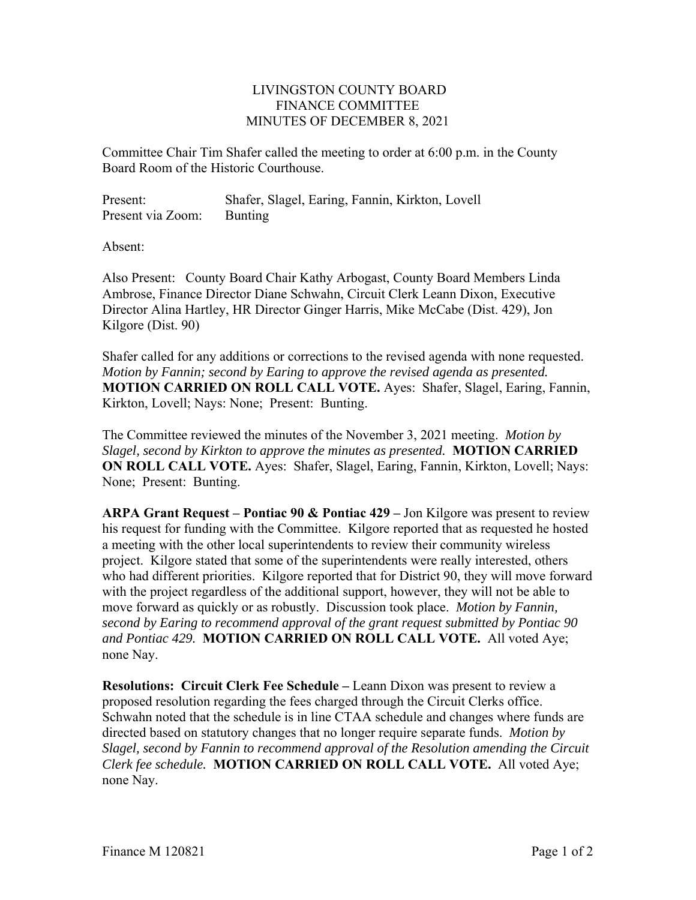## LIVINGSTON COUNTY BOARD FINANCE COMMITTEE MINUTES OF DECEMBER 8, 2021

Committee Chair Tim Shafer called the meeting to order at 6:00 p.m. in the County Board Room of the Historic Courthouse.

Present: Shafer, Slagel, Earing, Fannin, Kirkton, Lovell Present via Zoom: Bunting

Absent:

Also Present: County Board Chair Kathy Arbogast, County Board Members Linda Ambrose, Finance Director Diane Schwahn, Circuit Clerk Leann Dixon, Executive Director Alina Hartley, HR Director Ginger Harris, Mike McCabe (Dist. 429), Jon Kilgore (Dist. 90)

Shafer called for any additions or corrections to the revised agenda with none requested. *Motion by Fannin; second by Earing to approve the revised agenda as presented.*  **MOTION CARRIED ON ROLL CALL VOTE.** Ayes: Shafer, Slagel, Earing, Fannin, Kirkton, Lovell; Nays: None; Present: Bunting.

The Committee reviewed the minutes of the November 3, 2021 meeting. *Motion by Slagel, second by Kirkton to approve the minutes as presented.* **MOTION CARRIED ON ROLL CALL VOTE.** Ayes: Shafer, Slagel, Earing, Fannin, Kirkton, Lovell; Nays: None; Present: Bunting.

**ARPA Grant Request – Pontiac 90 & Pontiac 429 –** Jon Kilgore was present to review his request for funding with the Committee. Kilgore reported that as requested he hosted a meeting with the other local superintendents to review their community wireless project. Kilgore stated that some of the superintendents were really interested, others who had different priorities. Kilgore reported that for District 90, they will move forward with the project regardless of the additional support, however, they will not be able to move forward as quickly or as robustly. Discussion took place. *Motion by Fannin, second by Earing to recommend approval of the grant request submitted by Pontiac 90 and Pontiac 429.* **MOTION CARRIED ON ROLL CALL VOTE.** All voted Aye; none Nay.

**Resolutions: Circuit Clerk Fee Schedule –** Leann Dixon was present to review a proposed resolution regarding the fees charged through the Circuit Clerks office. Schwahn noted that the schedule is in line CTAA schedule and changes where funds are directed based on statutory changes that no longer require separate funds. *Motion by Slagel, second by Fannin to recommend approval of the Resolution amending the Circuit Clerk fee schedule.* **MOTION CARRIED ON ROLL CALL VOTE.** All voted Aye; none Nay.